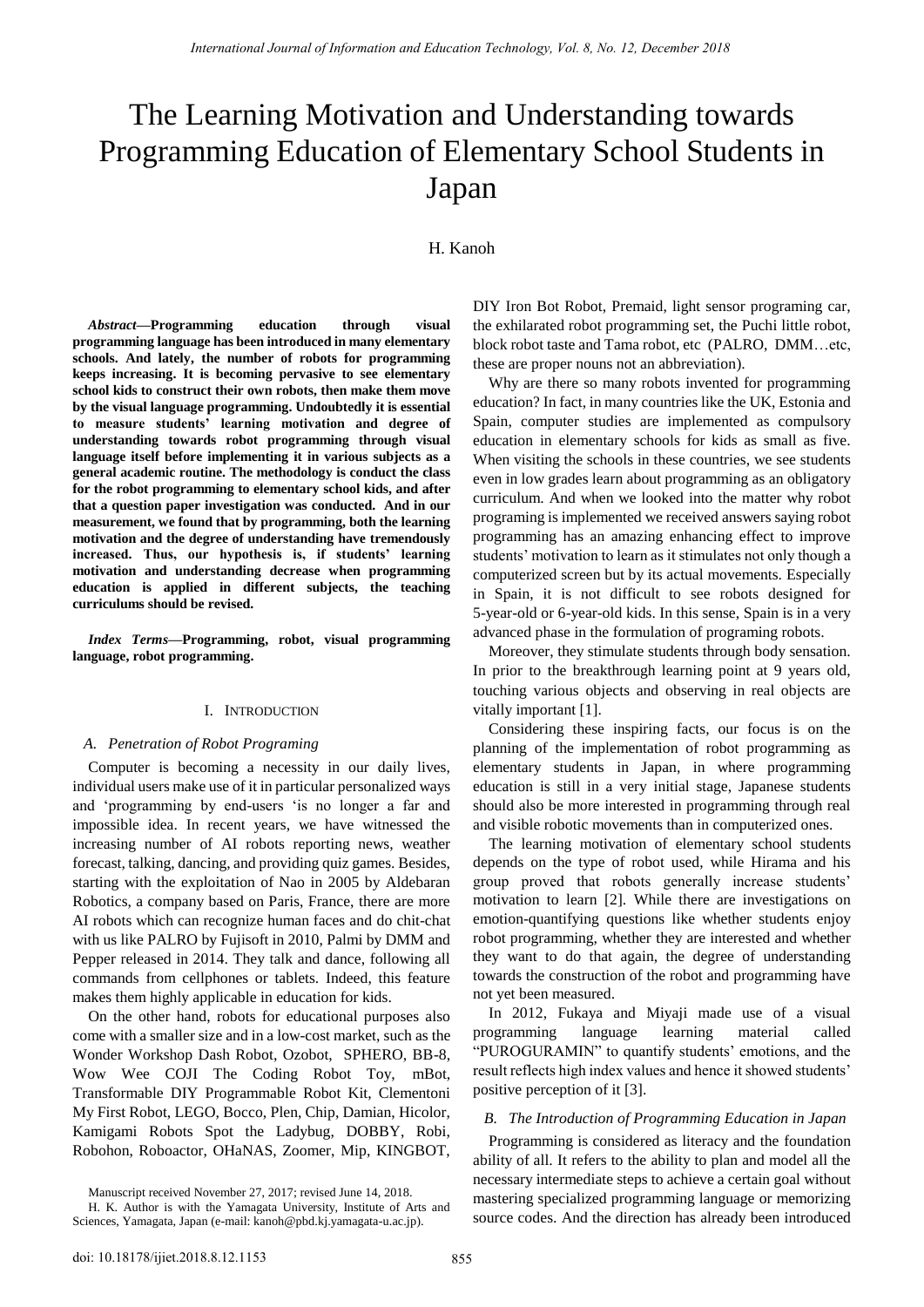# The Learning Motivation and Understanding towards Programming Education of Elementary School Students in Japan

## H. Kanoh

*Abstract***—Programming education through visual programming language has been introduced in many elementary schools. And lately, the number of robots for programming keeps increasing. It is becoming pervasive to see elementary school kids to construct their own robots, then make them move by the visual language programming. Undoubtedly it is essential to measure students' learning motivation and degree of understanding towards robot programming through visual language itself before implementing it in various subjects as a general academic routine. The methodology is conduct the class for the robot programming to elementary school kids, and after that a question paper investigation was conducted. And in our measurement, we found that by programming, both the learning motivation and the degree of understanding have tremendously increased. Thus, our hypothesis is, if students' learning motivation and understanding decrease when programming education is applied in different subjects, the teaching curriculums should be revised.** 

*Index Terms***—Programming, robot, visual programming language, robot programming.** 

## I. INTRODUCTION

#### *A. Penetration of Robot Programing*

Computer is becoming a necessity in our daily lives, individual users make use of it in particular personalized ways and 'programming by end-users 'is no longer a far and impossible idea. In recent years, we have witnessed the increasing number of AI robots reporting news, weather forecast, talking, dancing, and providing quiz games. Besides, starting with the exploitation of Nao in 2005 by Aldebaran Robotics, a company based on Paris, France, there are more AI robots which can recognize human faces and do chit-chat with us like PALRO by Fujisoft in 2010, Palmi by DMM and Pepper released in 2014. They talk and dance, following all commands from cellphones or tablets. Indeed, this feature makes them highly applicable in education for kids.

On the other hand, robots for educational purposes also come with a smaller size and in a low-cost market, such as the Wonder Workshop Dash Robot, Ozobot, SPHERO, BB-8, Wow Wee COJI The Coding Robot Toy, mBot, Transformable DIY Programmable Robot Kit, Clementoni My First Robot, LEGO, Bocco, Plen, Chip, Damian, Hicolor, Kamigami Robots Spot the Ladybug, DOBBY, Robi, Robohon, Roboactor, OHaNAS, Zoomer, Mip, KINGBOT,

Manuscript received November 27, 2017; revised June 14, 2018.

DIY Iron Bot Robot, Premaid, light sensor programing car, the exhilarated robot programming set, the Puchi little robot, block robot taste and Tama robot, etc (PALRO, DMM…etc, these are proper nouns not an abbreviation).

Why are there so many robots invented for programming education? In fact, in many countries like the UK, Estonia and Spain, computer studies are implemented as compulsory education in elementary schools for kids as small as five. When visiting the schools in these countries, we see students even in low grades learn about programming as an obligatory curriculum. And when we looked into the matter why robot programing is implemented we received answers saying robot programming has an amazing enhancing effect to improve students' motivation to learn as it stimulates not only though a computerized screen but by its actual movements. Especially in Spain, it is not difficult to see robots designed for 5-year-old or 6-year-old kids. In this sense, Spain is in a very advanced phase in the formulation of programing robots.

Moreover, they stimulate students through body sensation. In prior to the breakthrough learning point at 9 years old, touching various objects and observing in real objects are vitally important [1].

Considering these inspiring facts, our focus is on the planning of the implementation of robot programming as elementary students in Japan, in where programming education is still in a very initial stage, Japanese students should also be more interested in programming through real and visible robotic movements than in computerized ones.

The learning motivation of elementary school students depends on the type of robot used, while Hirama and his group proved that robots generally increase students' motivation to learn [2]. While there are investigations on emotion-quantifying questions like whether students enjoy robot programming, whether they are interested and whether they want to do that again, the degree of understanding towards the construction of the robot and programming have not yet been measured.

In 2012, Fukaya and Miyaji made use of a visual programming language learning material called "PUROGURAMIN" to quantify students' emotions, and the result reflects high index values and hence it showed students' positive perception of it [3].

## *B. The Introduction of Programming Education in Japan*

Programming is considered as literacy and the foundation ability of all. It refers to the ability to plan and model all the necessary intermediate steps to achieve a certain goal without mastering specialized programming language or memorizing source codes. And the direction has already been introduced

H. K. Author is with the Yamagata University, Institute of Arts and Sciences, Yamagata, Japan (e-mail: kanoh@pbd.kj.yamagata-u.ac.jp).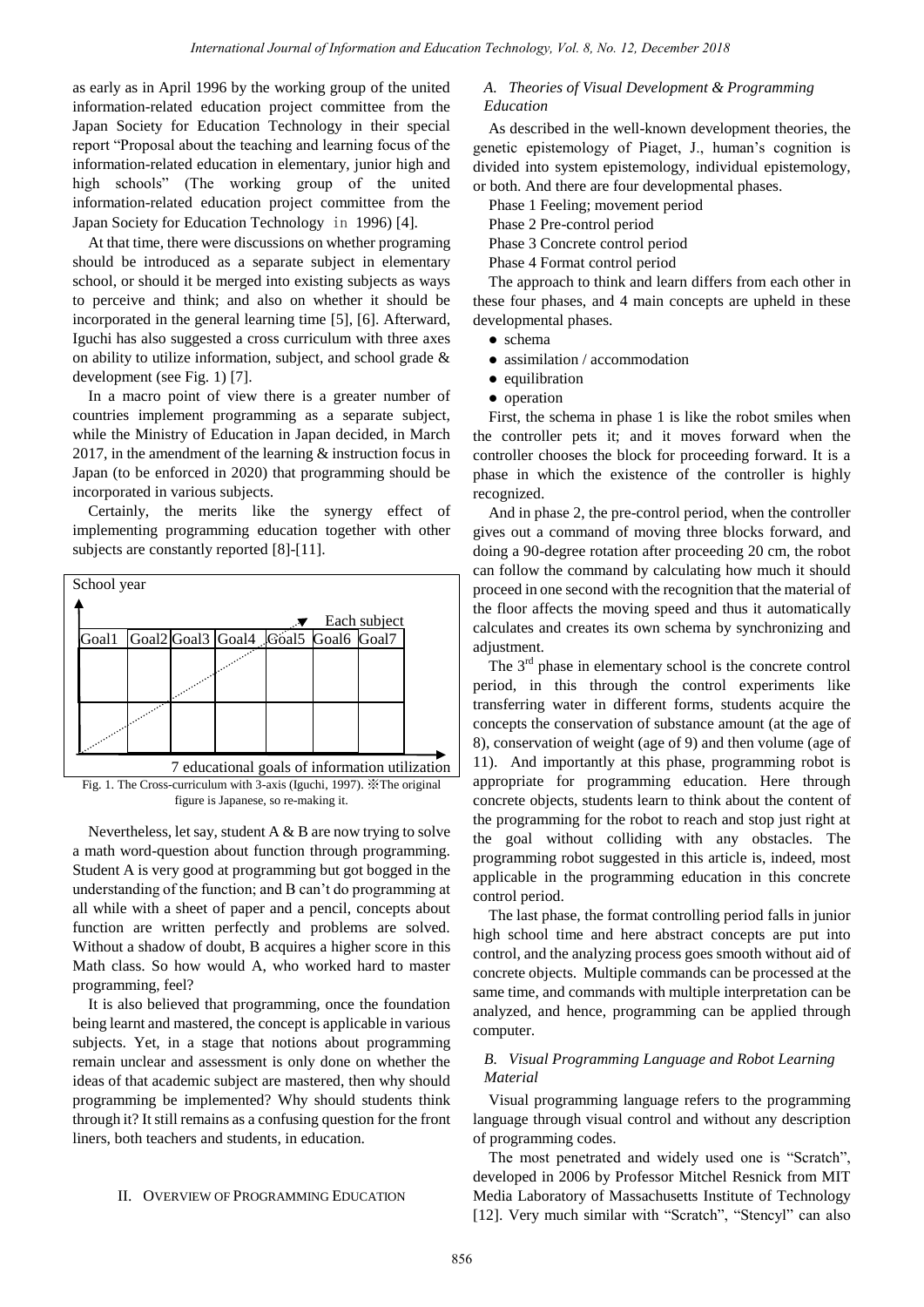as early as in April 1996 by the working group of the united information-related education project committee from the Japan Society for Education Technology in their special report "Proposal about the teaching and learning focus of the information-related education in elementary, junior high and high schools" (The working group of the united information-related education project committee from the Japan Society for Education Technology in 1996) [4].

At that time, there were discussions on whether programing should be introduced as a separate subject in elementary school, or should it be merged into existing subjects as ways to perceive and think; and also on whether it should be incorporated in the general learning time [5], [6]. Afterward, Iguchi has also suggested a cross curriculum with three axes on ability to utilize information, subject, and school grade & development (see Fig. 1) [7].

In a macro point of view there is a greater number of countries implement programming as a separate subject, while the Ministry of Education in Japan decided, in March 2017, in the amendment of the learning & instruction focus in Japan (to be enforced in 2020) that programming should be incorporated in various subjects.

Certainly, the merits like the synergy effect of implementing programming education together with other subjects are constantly reported [8]-[11].



Nevertheless, let say, student  $A \& B$  are now trying to solve a math word-question about function through programming. Student A is very good at programming but got bogged in the understanding of the function; and B can't do programming at all while with a sheet of paper and a pencil, concepts about function are written perfectly and problems are solved. Without a shadow of doubt, B acquires a higher score in this Math class. So how would A, who worked hard to master programming, feel?

It is also believed that programming, once the foundation being learnt and mastered, the concept is applicable in various subjects. Yet, in a stage that notions about programming remain unclear and assessment is only done on whether the ideas of that academic subject are mastered, then why should programming be implemented? Why should students think through it? It still remains as a confusing question for the front liners, both teachers and students, in education.

## II. OVERVIEW OF PROGRAMMING EDUCATION

## *A. Theories of Visual Development & Programming Education*

As described in the well-known development theories, the genetic epistemology of Piaget, J., human's cognition is divided into system epistemology, individual epistemology, or both. And there are four developmental phases.

Phase 1 Feeling; movement period

Phase 2 Pre-control period

Phase 3 Concrete control period

Phase 4 Format control period

The approach to think and learn differs from each other in these four phases, and 4 main concepts are upheld in these developmental phases.

- schema
- assimilation / accommodation
- equilibration
- operation

First, the schema in phase 1 is like the robot smiles when the controller pets it; and it moves forward when the controller chooses the block for proceeding forward. It is a phase in which the existence of the controller is highly recognized.

And in phase 2, the pre-control period, when the controller gives out a command of moving three blocks forward, and doing a 90-degree rotation after proceeding 20 cm, the robot can follow the command by calculating how much it should proceed in one second with the recognition that the material of the floor affects the moving speed and thus it automatically calculates and creates its own schema by synchronizing and adjustment.

The  $3<sup>rd</sup>$  phase in elementary school is the concrete control period, in this through the control experiments like transferring water in different forms, students acquire the concepts the conservation of substance amount (at the age of 8), conservation of weight (age of 9) and then volume (age of 11). And importantly at this phase, programming robot is appropriate for programming education. Here through concrete objects, students learn to think about the content of the programming for the robot to reach and stop just right at the goal without colliding with any obstacles. The programming robot suggested in this article is, indeed, most applicable in the programming education in this concrete control period.

The last phase, the format controlling period falls in junior high school time and here abstract concepts are put into control, and the analyzing process goes smooth without aid of concrete objects. Multiple commands can be processed at the same time, and commands with multiple interpretation can be analyzed, and hence, programming can be applied through computer.

# *B. Visual Programming Language and Robot Learning Material*

Visual programming language refers to the programming language through visual control and without any description of programming codes.

The most penetrated and widely used one is "Scratch", developed in 2006 by Professor Mitchel Resnick from MIT Media Laboratory of Massachusetts Institute of Technology [12]. Very much similar with "Scratch", "Stencyl" can also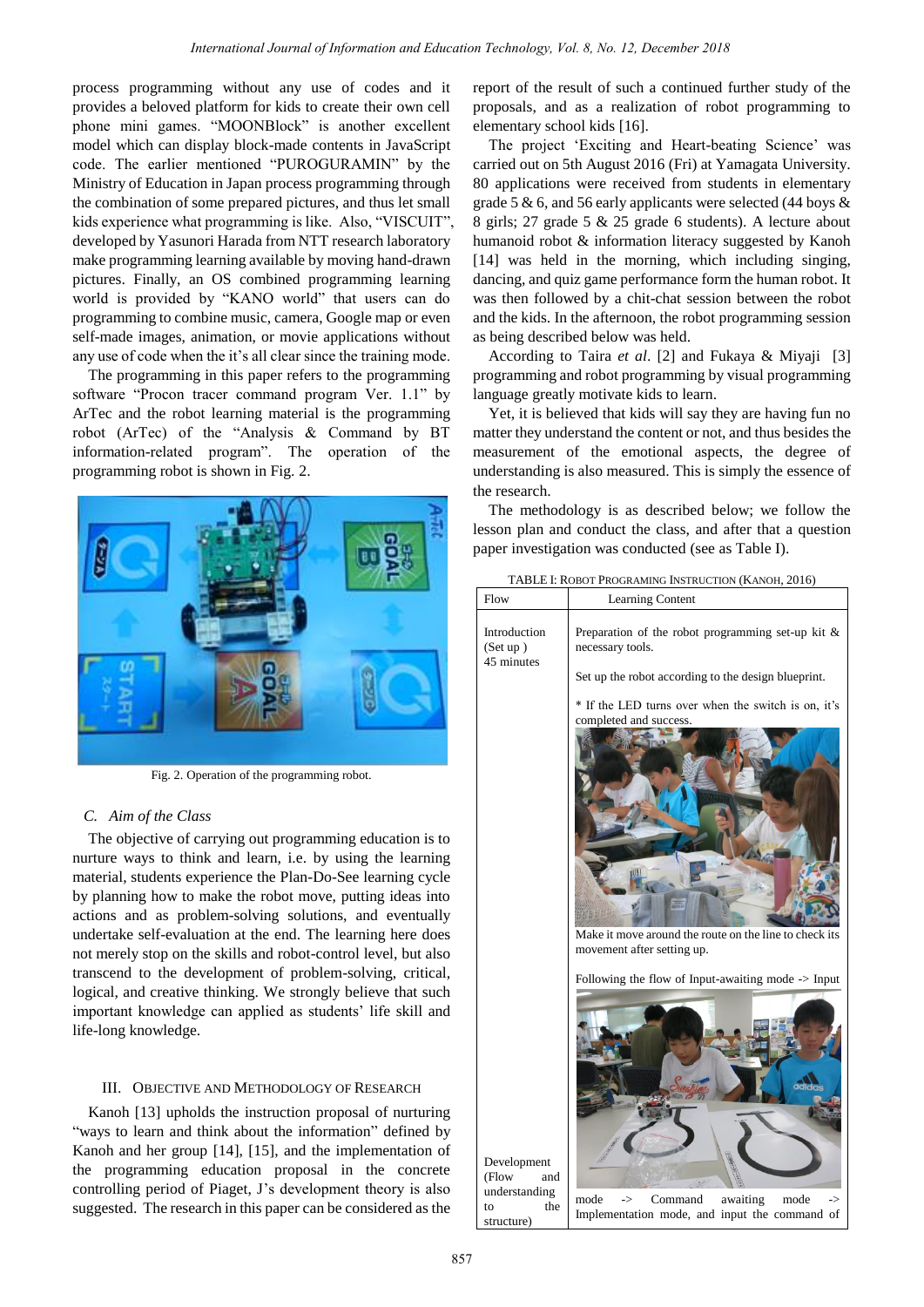process programming without any use of codes and it provides a beloved platform for kids to create their own cell phone mini games. "MOONBlock" is another excellent model which can display block-made contents in JavaScript code. The earlier mentioned "PUROGURAMIN" by the Ministry of Education in Japan process programming through the combination of some prepared pictures, and thus let small kids experience what programming is like. Also, "VISCUIT", developed by Yasunori Harada from NTT research laboratory make programming learning available by moving hand-drawn pictures. Finally, an OS combined programming learning world is provided by "KANO world" that users can do programming to combine music, camera, Google map or even self-made images, animation, or movie applications without any use of code when the it's all clear since the training mode.

The programming in this paper refers to the programming software "Procon tracer command program Ver. 1.1" by ArTec and the robot learning material is the programming robot (ArTec) of the "Analysis & Command by BT information-related program". The operation of the programming robot is shown in Fig. 2.



Fig. 2. Operation of the programming robot.

# *C. Aim of the Class*

The objective of carrying out programming education is to nurture ways to think and learn, i.e. by using the learning material, students experience the Plan-Do-See learning cycle by planning how to make the robot move, putting ideas into actions and as problem-solving solutions, and eventually undertake self-evaluation at the end. The learning here does not merely stop on the skills and robot-control level, but also transcend to the development of problem-solving, critical, logical, and creative thinking. We strongly believe that such important knowledge can applied as students' life skill and life-long knowledge.

#### III. OBJECTIVE AND METHODOLOGY OF RESEARCH

Kanoh [13] upholds the instruction proposal of nurturing "ways to learn and think about the information" defined by Kanoh and her group [14], [15], and the implementation of the programming education proposal in the concrete controlling period of Piaget, J's development theory is also suggested. The research in this paper can be considered as the report of the result of such a continued further study of the proposals, and as a realization of robot programming to elementary school kids [16].

The project 'Exciting and Heart-beating Science' was carried out on 5th August 2016 (Fri) at Yamagata University. 80 applications were received from students in elementary grade 5 & 6, and 56 early applicants were selected (44 boys & 8 girls; 27 grade 5 & 25 grade 6 students). A lecture about humanoid robot & information literacy suggested by Kanoh [14] was held in the morning, which including singing, dancing, and quiz game performance form the human robot. It was then followed by a chit-chat session between the robot and the kids. In the afternoon, the robot programming session as being described below was held.

According to Taira *et al*. [2] and Fukaya & Miyaji [3] programming and robot programming by visual programming language greatly motivate kids to learn.

Yet, it is believed that kids will say they are having fun no matter they understand the content or not, and thus besides the measurement of the emotional aspects, the degree of understanding is also measured. This is simply the essence of the research.

The methodology is as described below; we follow the lesson plan and conduct the class, and after that a question paper investigation was conducted (see as Table I).

| Flow                                   | Learning Content                                                                                                                                                      |
|----------------------------------------|-----------------------------------------------------------------------------------------------------------------------------------------------------------------------|
| Introduction<br>(Set up)<br>45 minutes | Preparation of the robot programming set-up kit $\&$<br>necessary tools.                                                                                              |
|                                        | Set up the robot according to the design blueprint.                                                                                                                   |
|                                        | * If the LED turns over when the switch is on, it's<br>completed and success.<br>Make it move around the route on the line to check its<br>movement after setting up. |
|                                        | Following the flow of Input-awaiting mode -> Input                                                                                                                    |

Development (Flow and understanding to the structure)

mode -> Command awaiting mode -> Implementation mode, and input the command of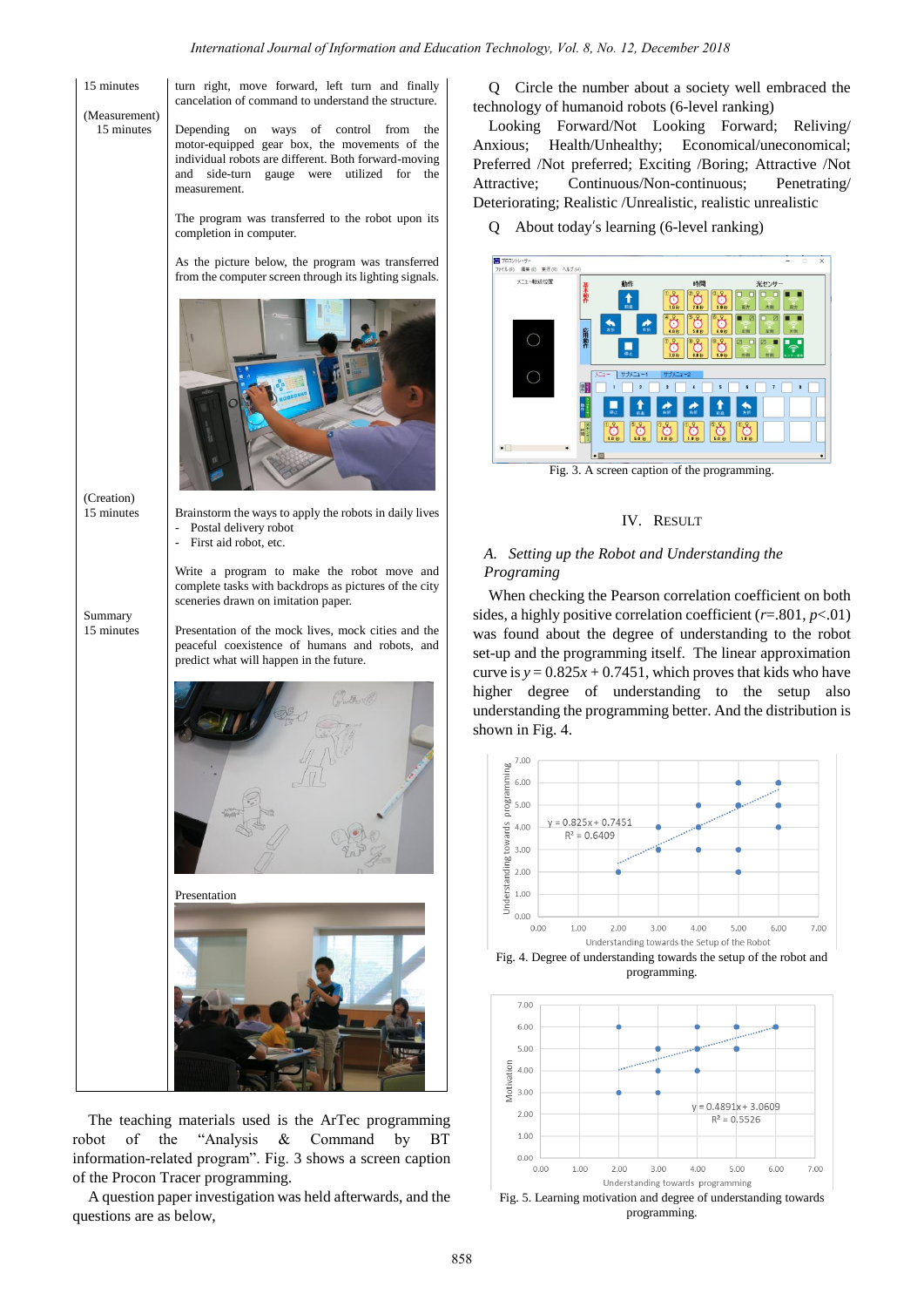15 minutes turn right, move forward, left turn and finally cancelation of command to understand the structure. (Measurement) 15 minutes Depending on ways of control from the motor-equipped gear box, the movements of the individual robots are different. Both forward-moving and side-turn gauge were utilized for the measurement. The program was transferred to the robot upon its completion in computer. As the picture below, the program was transferred from the computer screen through its lighting signals. (Creation) 15 minutes Brainstorm the ways to apply the robots in daily lives - Postal delivery robot - First aid robot, etc. Write a program to make the robot move and complete tasks with backdrops as pictures of the city sceneries drawn on imitation paper. Summary 15 minutes Presentation of the mock lives, mock cities and the peaceful coexistence of humans and robots, and predict what will happen in the future. 7.00 bf 6.00 progra  $500$  $\frac{6}{5}$  4.00 **bow**  $3.00$ anding  $2.00$ Indard<sup>-</sup>  $1.0<sub>C</sub>$ Presentation  $0<sup>0<sup>c</sup></sup>$  $700$ 6.00 5.00  $400$ 

The teaching materials used is the ArTec programming robot of the "Analysis & Command by BT information-related program". Fig. 3 shows a screen caption of the Procon Tracer programming.

A question paper investigation was held afterwards, and the questions are as below,

Q Circle the number about a society well embraced the technology of humanoid robots (6-level ranking)

Looking Forward/Not Looking Forward; Reliving/ Anxious; Health/Unhealthy; Economical/uneconomical; Preferred /Not preferred; Exciting /Boring; Attractive /Not Attractive; Continuous/Non-continuous; Penetrating/ Deteriorating; Realistic /Unrealistic, realistic unrealistic

Q About today's learning (6-level ranking)



Fig. 3. A screen caption of the programming.

## IV. RESULT

# *A. Setting up the Robot and Understanding the Programing*

When checking the Pearson correlation coefficient on both sides, a highly positive correlation coefficient (*r*=.801, *p*<.01) was found about the degree of understanding to the robot set-up and the programming itself. The linear approximation curve is  $y = 0.825x + 0.7451$ , which proves that kids who have higher degree of understanding to the setup also understanding the programming better. And the distribution is shown in Fig. 4.



programming.



programming.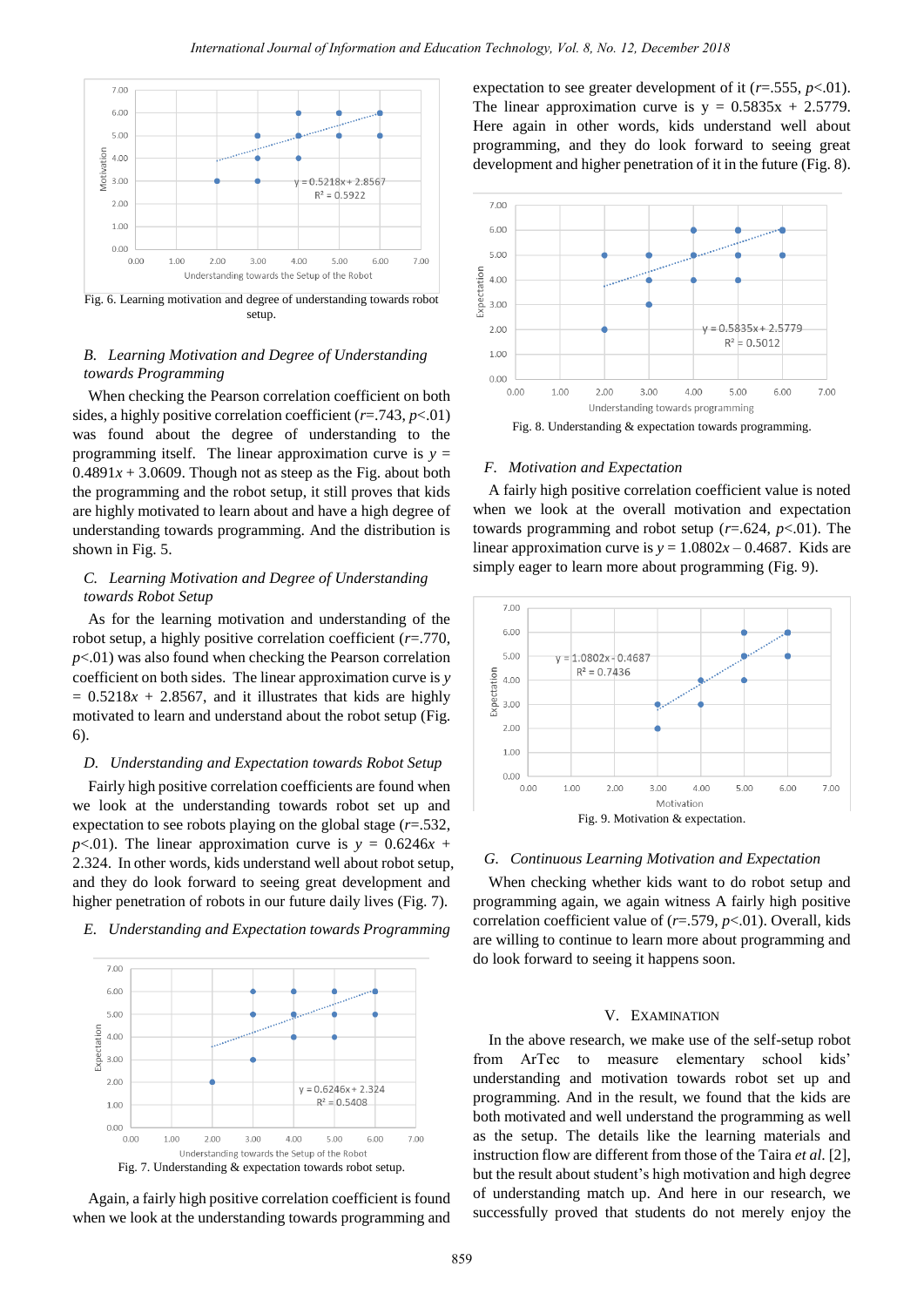

Fig. 6. Learning motivation and degree of understanding towards robot setup.

## *B. Learning Motivation and Degree of Understanding towards Programming*

When checking the Pearson correlation coefficient on both sides, a highly positive correlation coefficient (*r*=.743, *p*<.01) was found about the degree of understanding to the programming itself. The linear approximation curve is  $y =$  $0.4891x + 3.0609$ . Though not as steep as the Fig. about both the programming and the robot setup, it still proves that kids are highly motivated to learn about and have a high degree of understanding towards programming. And the distribution is shown in Fig. 5.

## *C. Learning Motivation and Degree of Understanding towards Robot Setup*

As for the learning motivation and understanding of the robot setup, a highly positive correlation coefficient (*r*=.770,  $p<.01$ ) was also found when checking the Pearson correlation coefficient on both sides. The linear approximation curve is *y*  $= 0.5218x + 2.8567$ , and it illustrates that kids are highly motivated to learn and understand about the robot setup (Fig. 6).

## *D. Understanding and Expectation towards Robot Setup*

Fairly high positive correlation coefficients are found when we look at the understanding towards robot set up and expectation to see robots playing on the global stage (*r*=.532, *p*<.01). The linear approximation curve is  $y = 0.6246x +$ 2.324. In other words, kids understand well about robot setup, and they do look forward to seeing great development and higher penetration of robots in our future daily lives (Fig. 7).

#### *E. Understanding and Expectation towards Programming*





expectation to see greater development of it (*r*=.555, *p*<.01). The linear approximation curve is  $y = 0.5835x + 2.5779$ . Here again in other words, kids understand well about programming, and they do look forward to seeing great development and higher penetration of it in the future (Fig. 8).



#### *F. Motivation and Expectation*

A fairly high positive correlation coefficient value is noted when we look at the overall motivation and expectation towards programming and robot setup (*r*=.624, *p*<.01). The linear approximation curve is  $y = 1.0802x - 0.4687$ . Kids are simply eager to learn more about programming (Fig. 9).



#### *G. Continuous Learning Motivation and Expectation*

When checking whether kids want to do robot setup and programming again, we again witness A fairly high positive correlation coefficient value of (*r*=.579, *p*<.01). Overall, kids are willing to continue to learn more about programming and do look forward to seeing it happens soon.

#### V. EXAMINATION

In the above research, we make use of the self-setup robot from ArTec to measure elementary school kids' understanding and motivation towards robot set up and programming. And in the result, we found that the kids are both motivated and well understand the programming as well as the setup. The details like the learning materials and instruction flow are different from those of the Taira *et al*. [2], but the result about student's high motivation and high degree of understanding match up. And here in our research, we successfully proved that students do not merely enjoy the